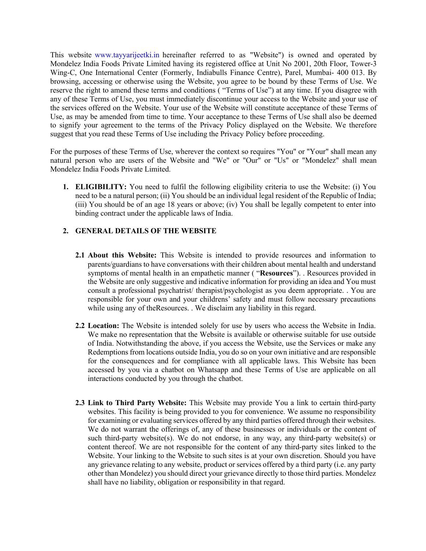This website [www.tayyarijeetki.in](https://www.tayyarijeetki.in) hereinafter referred to as "Website") is owned and operated by Mondelez India Foods Private Limited having its registered office at Unit No 2001, 20th Floor, Tower-3 Wing-C, One International Center (Formerly, Indiabulls Finance Centre), Parel, Mumbai- 400 013. By browsing, accessing or otherwise using the Website, you agree to be bound by these Terms of Use. We reserve the right to amend these terms and conditions ( "Terms of Use") at any time. If you disagree with any of these Terms of Use, you must immediately discontinue your access to the Website and your use of the services offered on the Website. Your use of the Website will constitute acceptance of these Terms of Use, as may be amended from time to time. Your acceptance to these Terms of Use shall also be deemed to signify your agreement to the terms of the Privacy Policy displayed on the Website. We therefore suggest that you read these Terms of Use including the Privacy Policy before proceeding.

For the purposes of these Terms of Use, wherever the context so requires "You" or "Your" shall mean any natural person who are users of the Website and "We" or "Our" or "Us" or "Mondelez" shall mean Mondelez India Foods Private Limited.

**1. ELIGIBILITY:** You need to fulfil the following eligibility criteria to use the Website: (i) You need to be a natural person; (ii) You should be an individual legal resident of the Republic of India; (iii) You should be of an age 18 years or above; (iv) You shall be legally competent to enter into binding contract under the applicable laws of India.

## **2. GENERAL DETAILS OF THE WEBSITE**

- **2.1 About this Website:** This Website is intended to provide resources and information to parents/guardians to have conversations with their children about mental health and understand symptoms of mental health in an empathetic manner ( "**Resources**"). . Resources provided in the Website are only suggestive and indicative information for providing an idea and You must consult a professional psychatrist/ therapist/psychologist as you deem appropriate. . You are responsible for your own and your childrens' safety and must follow necessary precautions while using any of theResources. . We disclaim any liability in this regard.
- **2.2 Location:** The Website is intended solely for use by users who access the Website in India. We make no representation that the Website is available or otherwise suitable for use outside of India. Notwithstanding the above, if you access the Website, use the Services or make any Redemptions from locations outside India, you do so on your own initiative and are responsible for the consequences and for compliance with all applicable laws. This Website has been accessed by you via a chatbot on Whatsapp and these Terms of Use are applicable on all interactions conducted by you through the chatbot.
- **2.3 Link to Third Party Website:** This Website may provide You a link to certain third-party websites. This facility is being provided to you for convenience. We assume no responsibility for examining or evaluating services offered by any third parties offered through their websites. We do not warrant the offerings of, any of these businesses or individuals or the content of such third-party website(s). We do not endorse, in any way, any third-party website(s) or content thereof. We are not responsible for the content of any third-party sites linked to the Website. Your linking to the Website to such sites is at your own discretion. Should you have any grievance relating to any website, product or services offered by a third party (i.e. any party other than Mondelez) you should direct your grievance directly to those third parties. Mondelez shall have no liability, obligation or responsibility in that regard.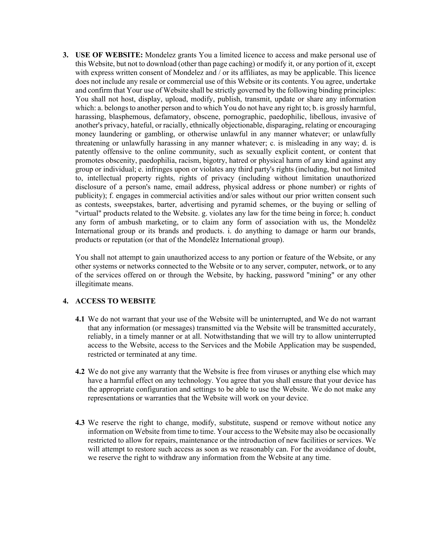**3. USE OF WEBSITE:** Mondelez grants You a limited licence to access and make personal use of this Website, but not to download (other than page caching) or modify it, or any portion of it, except with express written consent of Mondelez and / or its affiliates, as may be applicable. This licence does not include any resale or commercial use of this Website or its contents. You agree, undertake and confirm that Your use of Website shall be strictly governed by the following binding principles: You shall not host, display, upload, modify, publish, transmit, update or share any information which: a. belongs to another person and to which You do not have any right to; b. is grossly harmful, harassing, blasphemous, defamatory, obscene, pornographic, paedophilic, libellous, invasive of another's privacy, hateful, or racially, ethnically objectionable, disparaging, relating or encouraging money laundering or gambling, or otherwise unlawful in any manner whatever; or unlawfully threatening or unlawfully harassing in any manner whatever; c. is misleading in any way; d. is patently offensive to the online community, such as sexually explicit content, or content that promotes obscenity, paedophilia, racism, bigotry, hatred or physical harm of any kind against any group or individual; e. infringes upon or violates any third party's rights (including, but not limited to, intellectual property rights, rights of privacy (including without limitation unauthorized disclosure of a person's name, email address, physical address or phone number) or rights of publicity); f. engages in commercial activities and/or sales without our prior written consent such as contests, sweepstakes, barter, advertising and pyramid schemes, or the buying or selling of "virtual" products related to the Website. g. violates any law for the time being in force; h. conduct any form of ambush marketing, or to claim any form of association with us, the Mondelēz International group or its brands and products. i. do anything to damage or harm our brands, products or reputation (or that of the Mondelēz International group).

You shall not attempt to gain unauthorized access to any portion or feature of the Website, or any other systems or networks connected to the Website or to any server, computer, network, or to any of the services offered on or through the Website, by hacking, password "mining" or any other illegitimate means.

## **4. ACCESS TO WEBSITE**

- **4.1** We do not warrant that your use of the Website will be uninterrupted, and We do not warrant that any information (or messages) transmitted via the Website will be transmitted accurately, reliably, in a timely manner or at all. Notwithstanding that we will try to allow uninterrupted access to the Website, access to the Services and the Mobile Application may be suspended, restricted or terminated at any time.
- **4.2** We do not give any warranty that the Website is free from viruses or anything else which may have a harmful effect on any technology. You agree that you shall ensure that your device has the appropriate configuration and settings to be able to use the Website. We do not make any representations or warranties that the Website will work on your device.
- **4.3** We reserve the right to change, modify, substitute, suspend or remove without notice any information on Website from time to time. Your access to the Website may also be occasionally restricted to allow for repairs, maintenance or the introduction of new facilities or services. We will attempt to restore such access as soon as we reasonably can. For the avoidance of doubt, we reserve the right to withdraw any information from the Website at any time.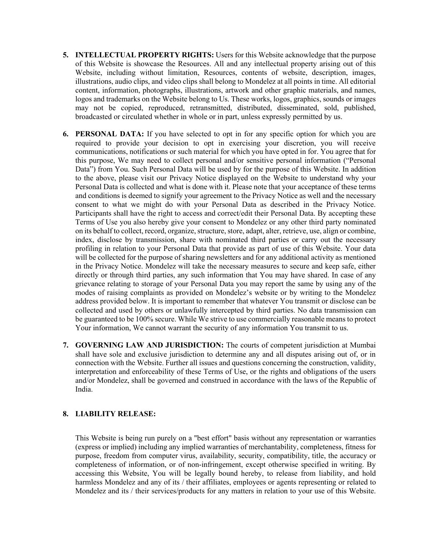- **5. INTELLECTUAL PROPERTY RIGHTS:** Users for this Website acknowledge that the purpose of this Website is showcase the Resources. All and any intellectual property arising out of this Website, including without limitation, Resources, contents of website, description, images, illustrations, audio clips, and video clips shall belong to Mondelez at all points in time. All editorial content, information, photographs, illustrations, artwork and other graphic materials, and names, logos and trademarks on the Website belong to Us. These works, logos, graphics, sounds or images may not be copied, reproduced, retransmitted, distributed, disseminated, sold, published, broadcasted or circulated whether in whole or in part, unless expressly permitted by us.
- **6. PERSONAL DATA:** If you have selected to opt in for any specific option for which you are required to provide your decision to opt in exercising your discretion, you will receive communications, notifications or such material for which you have opted in for. You agree that for this purpose, We may need to collect personal and/or sensitive personal information ("Personal Data") from You. Such Personal Data will be used by for the purpose of this Website. In addition to the above, please visit our Privacy Notice displayed on the Website to understand why your Personal Data is collected and what is done with it. Please note that your acceptance of these terms and conditions is deemed to signify your agreement to the Privacy Notice as well and the necessary consent to what we might do with your Personal Data as described in the Privacy Notice. Participants shall have the right to access and correct/edit their Personal Data. By accepting these Terms of Use you also hereby give your consent to Mondelez or any other third party nominated on its behalf to collect, record, organize, structure, store, adapt, alter, retrieve, use, align or combine, index, disclose by transmission, share with nominated third parties or carry out the necessary profiling in relation to your Personal Data that provide as part of use of this Website. Your data will be collected for the purpose of sharing newsletters and for any additional activity as mentioned in the Privacy Notice. Mondelez will take the necessary measures to secure and keep safe, either directly or through third parties, any such information that You may have shared. In case of any grievance relating to storage of your Personal Data you may report the same by using any of the modes of raising complaints as provided on Mondelez's website or by writing to the Mondelez address provided below. It is important to remember that whatever You transmit or disclose can be collected and used by others or unlawfully intercepted by third parties. No data transmission can be guaranteed to be 100% secure. While We strive to use commercially reasonable means to protect Your information, We cannot warrant the security of any information You transmit to us.
- **7. GOVERNING LAW AND JURISDICTION:** The courts of competent jurisdiction at Mumbai shall have sole and exclusive jurisdiction to determine any and all disputes arising out of, or in connection with the Website. Further all issues and questions concerning the construction, validity, interpretation and enforceability of these Terms of Use, or the rights and obligations of the users and/or Mondelez, shall be governed and construed in accordance with the laws of the Republic of India.

## **8. LIABILITY RELEASE:**

This Website is being run purely on a "best effort" basis without any representation or warranties (express or implied) including any implied warranties of merchantability, completeness, fitness for purpose, freedom from computer virus, availability, security, compatibility, title, the accuracy or completeness of information, or of non-infringement, except otherwise specified in writing. By accessing this Website, You will be legally bound hereby, to release from liability, and hold harmless Mondelez and any of its / their affiliates, employees or agents representing or related to Mondelez and its / their services/products for any matters in relation to your use of this Website.